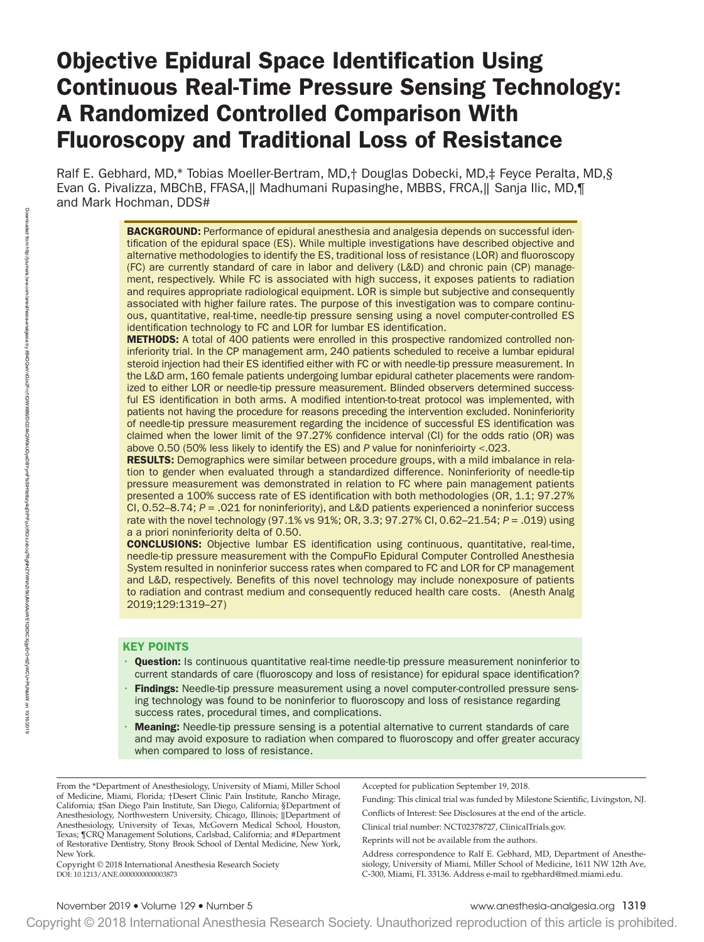# Objective Epidural Space Identification Using Continuous Real-Time Pressure Sensing Technology: A Randomized Controlled Comparison With Fluoroscopy and Traditional Loss of Resistance

Ralf E. Gebhard, MD,\* Tobias Moeller-Bertram, MD,† Douglas Dobecki, MD,‡ Feyce Peralta, MD,§ Evan G. Pivalizza, MBChB, FFASA,‖ Madhumani Rupasinghe, MBBS, FRCA,‖ Sanja Ilic, MD,¶ and Mark Hochman, DDS#

> **BACKGROUND:** Performance of epidural anesthesia and analgesia depends on successful identification of the epidural space (ES). While multiple investigations have described objective and alternative methodologies to identify the ES, traditional loss of resistance (LOR) and fluoroscopy (FC) are currently standard of care in labor and delivery (L&D) and chronic pain (CP) management, respectively. While FC is associated with high success, it exposes patients to radiation and requires appropriate radiological equipment. LOR is simple but subjective and consequently associated with higher failure rates. The purpose of this investigation was to compare continuous, quantitative, real-time, needle-tip pressure sensing using a novel computer-controlled ES identification technology to FC and LOR for lumbar ES identification.

> **METHODS:** A total of 400 patients were enrolled in this prospective randomized controlled noninferiority trial. In the CP management arm, 240 patients scheduled to receive a lumbar epidural steroid injection had their ES identified either with FC or with needle-tip pressure measurement. In the L&D arm, 160 female patients undergoing lumbar epidural catheter placements were randomized to either LOR or needle-tip pressure measurement. Blinded observers determined successful ES identification in both arms. A modified intention-to-treat protocol was implemented, with patients not having the procedure for reasons preceding the intervention excluded. Noninferiority of needle-tip pressure measurement regarding the incidence of successful ES identification was claimed when the lower limit of the 97.27% confidence interval (CI) for the odds ratio (OR) was above 0.50 (50% less likely to identify the ES) and *P* value for noninferioirty <.023.

> **RESULTS:** Demographics were similar between procedure groups, with a mild imbalance in relation to gender when evaluated through a standardized difference. Noninferiority of needle-tip pressure measurement was demonstrated in relation to FC where pain management patients presented a 100% success rate of ES identification with both methodologies (OR, 1.1; 97.27% CI, 0.52–8.74; *P* = .021 for noninferiority), and L&D patients experienced a noninferior success rate with the novel technology (97.1% vs 91%; OR, 3.3; 97.27% CI, 0.62–21.54; *P* = .019) using a a priori noninferiority delta of 0.50.

> CONCLUSIONS: Objective lumbar ES identification using continuous, quantitative, real-time, needle-tip pressure measurement with the CompuFlo Epidural Computer Controlled Anesthesia System resulted in noninferior success rates when compared to FC and LOR for CP management and L&D, respectively. Benefits of this novel technology may include nonexposure of patients to radiation and contrast medium and consequently reduced health care costs. (Anesth Analg 2019;129:1319–27)

### KEY POINTS

- **Question:** Is continuous quantitative real-time needle-tip pressure measurement noninferior to current standards of care (fluoroscopy and loss of resistance) for epidural space identification?
- Findings: Needle-tip pressure measurement using a novel computer-controlled pressure sensing technology was found to be noninferior to fluoroscopy and loss of resistance regarding success rates, procedural times, and complications.
- **Meaning:** Needle-tip pressure sensing is a potential alternative to current standards of care and may avoid exposure to radiation when compared to fluoroscopy and offer greater accuracy when compared to loss of resistance.

From the \*Department of Anesthesiology, University of Miami, Miller School of Medicine, Miami, Florida; †Desert Clinic Pain Institute, Rancho Mirage, California; ‡San Diego Pain Institute, San Diego, California; §Department of Anesthesiology, Northwestern University, Chicago, Illinois; ‖Department of Anesthesiology, University of Texas, McGovern Medical School, Houston, Texas; ¶CRQ Management Solutions, Carlsbad, California; and #Department of Restorative Dentistry, Stony Brook School of Dental Medicine, New York, New York.

DOI: 10.1213/ANE.0000000000003873 Copyright © 2018 International Anesthesia Research Society Accepted for publication September 19, 2018.

Funding: This clinical trial was funded by Milestone Scientific, Livingston, NJ.

Conflicts of Interest: See Disclosures at the end of the article.

Clinical trial number: NCT02378727, ClinicalTrials.gov.

Reprints will not be available from the authors.

Address correspondence to Ralf E. Gebhard, MD, Department of Anesthesiology, University of Miami, Miller School of Medicine, 1611 NW 12th Ave, C-300, Miami, FL 33136. Address e-mail to [rgebhard@med.miami.edu.](mailto:rgebhard@med.miami.edu)

Copyright © 2018 International Anesthesia Research Society. Unauthorized reproduction of this article is prohibited.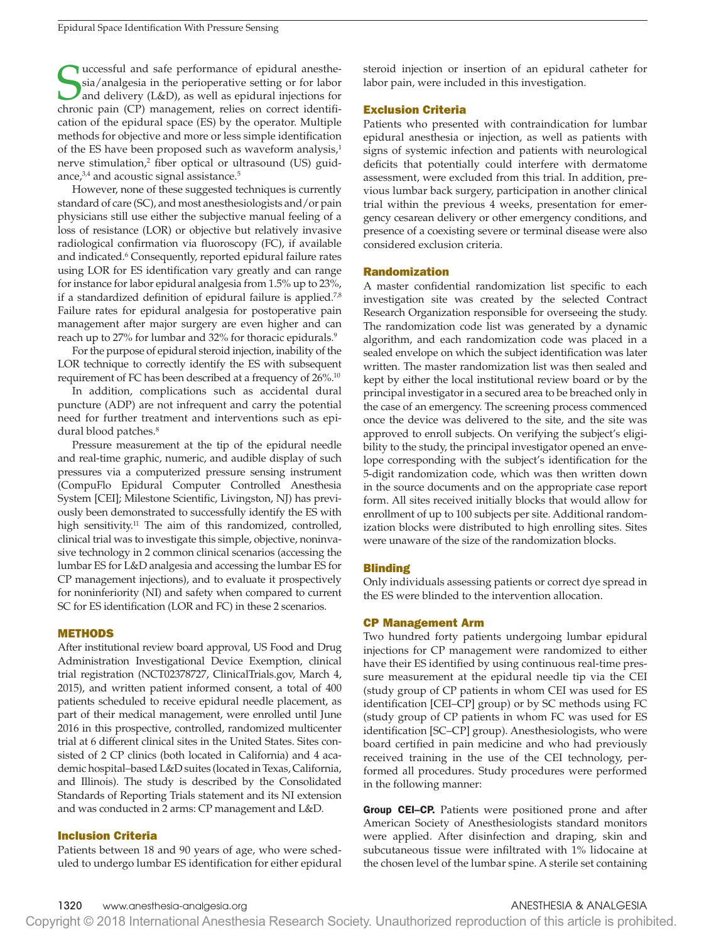**S**uccessful and safe performance of epidural anesthesia/analgesia in the perioperative setting or for labor and delivery (L&D), as well as epidural injections for chronic pain (CP) management, relies on correct identifiuccessful and safe performance of epidural anesthesia/analgesia in the perioperative setting or for labor and delivery (L&D), as well as epidural injections for cation of the epidural space (ES) by the operator. Multiple methods for objective and more or less simple identification of the ES have been proposed such as waveform analysis, $1$ nerve stimulation,<sup>2</sup> fiber optical or ultrasound (US) guidance, $3,4$  and acoustic signal assistance.<sup>5</sup>

However, none of these suggested techniques is currently standard of care (SC), and most anesthesiologists and/or pain physicians still use either the subjective manual feeling of a loss of resistance (LOR) or objective but relatively invasive radiological confirmation via fluoroscopy (FC), if available and indicated.<sup>6</sup> Consequently, reported epidural failure rates using LOR for ES identification vary greatly and can range for instance for labor epidural analgesia from 1.5% up to 23%, if a standardized definition of epidural failure is applied.<sup>7,8</sup> Failure rates for epidural analgesia for postoperative pain management after major surgery are even higher and can reach up to 27% for lumbar and 32% for thoracic epidurals.<sup>9</sup>

For the purpose of epidural steroid injection, inability of the LOR technique to correctly identify the ES with subsequent requirement of FC has been described at a frequency of 26%.10

In addition, complications such as accidental dural puncture (ADP) are not infrequent and carry the potential need for further treatment and interventions such as epidural blood patches.<sup>8</sup>

Pressure measurement at the tip of the epidural needle and real-time graphic, numeric, and audible display of such pressures via a computerized pressure sensing instrument (CompuFlo Epidural Computer Controlled Anesthesia System [CEI]; Milestone Scientific, Livingston, NJ) has previously been demonstrated to successfully identify the ES with high sensitivity.<sup>11</sup> The aim of this randomized, controlled, clinical trial was to investigate this simple, objective, noninvasive technology in 2 common clinical scenarios (accessing the lumbar ES for L&D analgesia and accessing the lumbar ES for CP management injections), and to evaluate it prospectively for noninferiority (NI) and safety when compared to current SC for ES identification (LOR and FC) in these 2 scenarios.

#### METHODS

After institutional review board approval, US Food and Drug Administration Investigational Device Exemption, clinical trial registration (NCT02378727, ClinicalTrials.gov, March 4, 2015), and written patient informed consent, a total of 400 patients scheduled to receive epidural needle placement, as part of their medical management, were enrolled until June 2016 in this prospective, controlled, randomized multicenter trial at 6 different clinical sites in the United States. Sites consisted of 2 CP clinics (both located in California) and 4 academic hospital–based L&D suites (located in Texas, California, and Illinois). The study is described by the Consolidated Standards of Reporting Trials statement and its NI extension and was conducted in 2 arms: CP management and L&D.

# Inclusion Criteria

Patients between 18 and 90 years of age, who were scheduled to undergo lumbar ES identification for either epidural steroid injection or insertion of an epidural catheter for labor pain, were included in this investigation.

# Exclusion Criteria

Patients who presented with contraindication for lumbar epidural anesthesia or injection, as well as patients with signs of systemic infection and patients with neurological deficits that potentially could interfere with dermatome assessment, were excluded from this trial. In addition, previous lumbar back surgery, participation in another clinical trial within the previous 4 weeks, presentation for emergency cesarean delivery or other emergency conditions, and presence of a coexisting severe or terminal disease were also considered exclusion criteria.

#### Randomization

A master confidential randomization list specific to each investigation site was created by the selected Contract Research Organization responsible for overseeing the study. The randomization code list was generated by a dynamic algorithm, and each randomization code was placed in a sealed envelope on which the subject identification was later written. The master randomization list was then sealed and kept by either the local institutional review board or by the principal investigator in a secured area to be breached only in the case of an emergency. The screening process commenced once the device was delivered to the site, and the site was approved to enroll subjects. On verifying the subject's eligibility to the study, the principal investigator opened an envelope corresponding with the subject's identification for the 5-digit randomization code, which was then written down in the source documents and on the appropriate case report form. All sites received initially blocks that would allow for enrollment of up to 100 subjects per site. Additional randomization blocks were distributed to high enrolling sites. Sites were unaware of the size of the randomization blocks.

#### **Blinding**

Only individuals assessing patients or correct dye spread in the ES were blinded to the intervention allocation.

### CP Management Arm

Two hundred forty patients undergoing lumbar epidural injections for CP management were randomized to either have their ES identified by using continuous real-time pressure measurement at the epidural needle tip via the CEI (study group of CP patients in whom CEI was used for ES identification [CEI–CP] group) or by SC methods using FC (study group of CP patients in whom FC was used for ES identification [SC–CP] group). Anesthesiologists, who were board certified in pain medicine and who had previously received training in the use of the CEI technology, performed all procedures. Study procedures were performed in the following manner:

**Group CEI–CP.** Patients were positioned prone and after American Society of Anesthesiologists standard monitors were applied. After disinfection and draping, skin and subcutaneous tissue were infiltrated with 1% lidocaine at the chosen level of the lumbar spine. A sterile set containing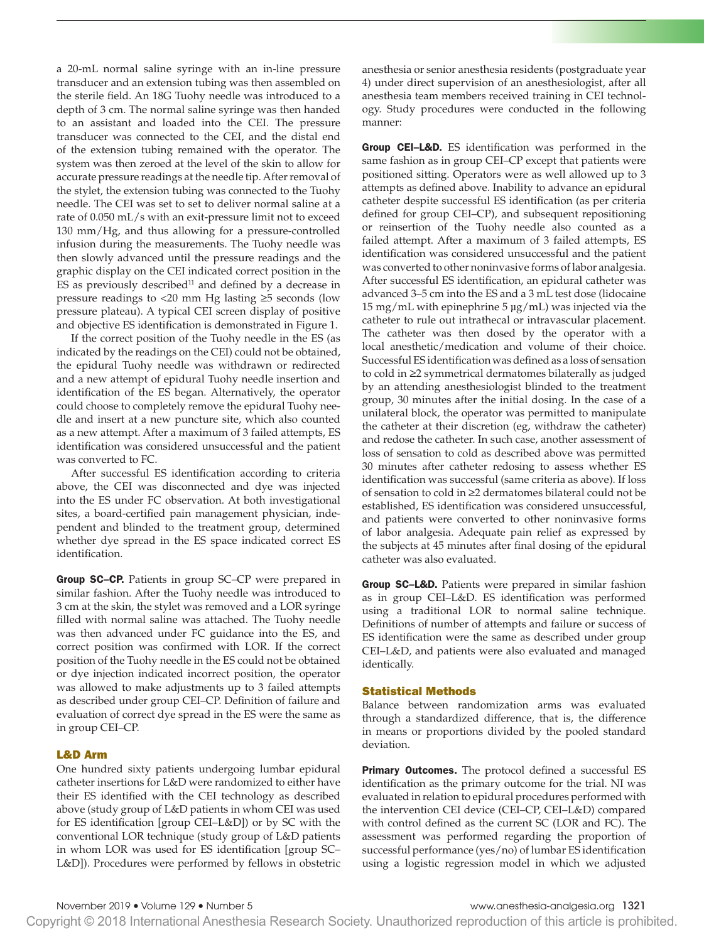a 20-mL normal saline syringe with an in-line pressure transducer and an extension tubing was then assembled on the sterile field. An 18G Tuohy needle was introduced to a depth of 3 cm. The normal saline syringe was then handed to an assistant and loaded into the CEI. The pressure transducer was connected to the CEI, and the distal end of the extension tubing remained with the operator. The system was then zeroed at the level of the skin to allow for accurate pressure readings at the needle tip. After removal of the stylet, the extension tubing was connected to the Tuohy needle. The CEI was set to set to deliver normal saline at a rate of 0.050 mL/s with an exit-pressure limit not to exceed 130 mm/Hg, and thus allowing for a pressure-controlled infusion during the measurements. The Tuohy needle was then slowly advanced until the pressure readings and the graphic display on the CEI indicated correct position in the  $ES$  as previously described<sup>11</sup> and defined by a decrease in pressure readings to <20 mm Hg lasting ≥5 seconds (low pressure plateau). A typical CEI screen display of positive and objective ES identification is demonstrated in Figure 1.

If the correct position of the Tuohy needle in the ES (as indicated by the readings on the CEI) could not be obtained, the epidural Tuohy needle was withdrawn or redirected and a new attempt of epidural Tuohy needle insertion and identification of the ES began. Alternatively, the operator could choose to completely remove the epidural Tuohy needle and insert at a new puncture site, which also counted as a new attempt. After a maximum of 3 failed attempts, ES identification was considered unsuccessful and the patient was converted to FC.

After successful ES identification according to criteria above, the CEI was disconnected and dye was injected into the ES under FC observation. At both investigational sites, a board-certified pain management physician, independent and blinded to the treatment group, determined whether dye spread in the ES space indicated correct ES identification.

Group SC–CP. Patients in group SC–CP were prepared in similar fashion. After the Tuohy needle was introduced to 3 cm at the skin, the stylet was removed and a LOR syringe filled with normal saline was attached. The Tuohy needle was then advanced under FC guidance into the ES, and correct position was confirmed with LOR. If the correct position of the Tuohy needle in the ES could not be obtained or dye injection indicated incorrect position, the operator was allowed to make adjustments up to 3 failed attempts as described under group CEI–CP. Definition of failure and evaluation of correct dye spread in the ES were the same as in group CEI–CP.

# L&D Arm

One hundred sixty patients undergoing lumbar epidural catheter insertions for L&D were randomized to either have their ES identified with the CEI technology as described above (study group of L&D patients in whom CEI was used for ES identification [group CEI–L&D]) or by SC with the conventional LOR technique (study group of L&D patients in whom LOR was used for ES identification [group SC– L&D]). Procedures were performed by fellows in obstetric anesthesia or senior anesthesia residents (postgraduate year 4) under direct supervision of an anesthesiologist, after all anesthesia team members received training in CEI technology. Study procedures were conducted in the following manner:

**Group CEI-L&D.** ES identification was performed in the same fashion as in group CEI–CP except that patients were positioned sitting. Operators were as well allowed up to 3 attempts as defined above. Inability to advance an epidural catheter despite successful ES identification (as per criteria defined for group CEI–CP), and subsequent repositioning or reinsertion of the Tuohy needle also counted as a failed attempt. After a maximum of 3 failed attempts, ES identification was considered unsuccessful and the patient was converted to other noninvasive forms of labor analgesia. After successful ES identification, an epidural catheter was advanced 3–5 cm into the ES and a 3 mL test dose (lidocaine 15 mg/mL with epinephrine 5 µg/mL) was injected via the catheter to rule out intrathecal or intravascular placement. The catheter was then dosed by the operator with a local anesthetic/medication and volume of their choice. Successful ES identification was defined as a loss of sensation to cold in ≥2 symmetrical dermatomes bilaterally as judged by an attending anesthesiologist blinded to the treatment group, 30 minutes after the initial dosing. In the case of a unilateral block, the operator was permitted to manipulate the catheter at their discretion (eg, withdraw the catheter) and redose the catheter. In such case, another assessment of loss of sensation to cold as described above was permitted 30 minutes after catheter redosing to assess whether ES identification was successful (same criteria as above). If loss of sensation to cold in ≥2 dermatomes bilateral could not be established, ES identification was considered unsuccessful, and patients were converted to other noninvasive forms of labor analgesia. Adequate pain relief as expressed by the subjects at 45 minutes after final dosing of the epidural catheter was also evaluated.

Group SC-L&D. Patients were prepared in similar fashion as in group CEI–L&D. ES identification was performed using a traditional LOR to normal saline technique. Definitions of number of attempts and failure or success of ES identification were the same as described under group CEI–L&D, and patients were also evaluated and managed identically.

### Statistical Methods

Balance between randomization arms was evaluated through a standardized difference, that is, the difference in means or proportions divided by the pooled standard deviation.

**Primary Outcomes.** The protocol defined a successful ES identification as the primary outcome for the trial. NI was evaluated in relation to epidural procedures performed with the intervention CEI device (CEI–CP, CEI–L&D) compared with control defined as the current SC (LOR and FC). The assessment was performed regarding the proportion of successful performance (yes/no) of lumbar ES identification using a logistic regression model in which we adjusted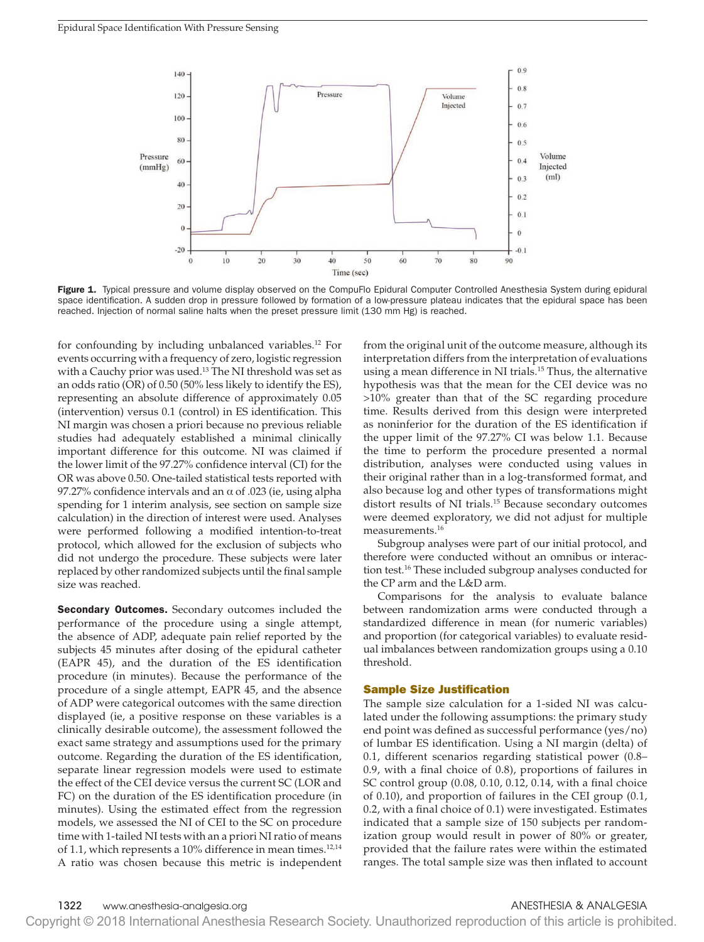

Figure 1. Typical pressure and volume display observed on the CompuFlo Epidural Computer Controlled Anesthesia System during epidural space identification. A sudden drop in pressure followed by formation of a low-pressure plateau indicates that the epidural space has been reached. Injection of normal saline halts when the preset pressure limit (130 mm Hg) is reached.

for confounding by including unbalanced variables.<sup>12</sup> For events occurring with a frequency of zero, logistic regression with a Cauchy prior was used.<sup>13</sup> The NI threshold was set as an odds ratio (OR) of 0.50 (50% less likely to identify the ES), representing an absolute difference of approximately 0.05 (intervention) versus 0.1 (control) in ES identification. This NI margin was chosen a priori because no previous reliable studies had adequately established a minimal clinically important difference for this outcome. NI was claimed if the lower limit of the 97.27% confidence interval (CI) for the OR was above 0.50. One-tailed statistical tests reported with 97.27% confidence intervals and an  $\alpha$  of .023 (ie, using alpha spending for 1 interim analysis, see section on sample size calculation) in the direction of interest were used. Analyses were performed following a modified intention-to-treat protocol, which allowed for the exclusion of subjects who did not undergo the procedure. These subjects were later replaced by other randomized subjects until the final sample size was reached.

**Secondary Outcomes.** Secondary outcomes included the performance of the procedure using a single attempt, the absence of ADP, adequate pain relief reported by the subjects 45 minutes after dosing of the epidural catheter (EAPR 45), and the duration of the ES identification procedure (in minutes). Because the performance of the procedure of a single attempt, EAPR 45, and the absence of ADP were categorical outcomes with the same direction displayed (ie, a positive response on these variables is a clinically desirable outcome), the assessment followed the exact same strategy and assumptions used for the primary outcome. Regarding the duration of the ES identification, separate linear regression models were used to estimate the effect of the CEI device versus the current SC (LOR and FC) on the duration of the ES identification procedure (in minutes). Using the estimated effect from the regression models, we assessed the NI of CEI to the SC on procedure time with 1-tailed NI tests with an a priori NI ratio of means of 1.1, which represents a 10% difference in mean times.<sup>12,14</sup> A ratio was chosen because this metric is independent

from the original unit of the outcome measure, although its interpretation differs from the interpretation of evaluations using a mean difference in NI trials.<sup>15</sup> Thus, the alternative hypothesis was that the mean for the CEI device was no >10% greater than that of the SC regarding procedure time. Results derived from this design were interpreted as noninferior for the duration of the ES identification if the upper limit of the 97.27% CI was below 1.1. Because the time to perform the procedure presented a normal distribution, analyses were conducted using values in their original rather than in a log-transformed format, and also because log and other types of transformations might distort results of NI trials.15 Because secondary outcomes were deemed exploratory, we did not adjust for multiple measurements.16

Subgroup analyses were part of our initial protocol, and therefore were conducted without an omnibus or interaction test.16 These included subgroup analyses conducted for the CP arm and the L&D arm.

Comparisons for the analysis to evaluate balance between randomization arms were conducted through a standardized difference in mean (for numeric variables) and proportion (for categorical variables) to evaluate residual imbalances between randomization groups using a 0.10 threshold.

#### Sample Size Justification

The sample size calculation for a 1-sided NI was calculated under the following assumptions: the primary study end point was defined as successful performance (yes/no) of lumbar ES identification. Using a NI margin (delta) of 0.1, different scenarios regarding statistical power (0.8– 0.9, with a final choice of 0.8), proportions of failures in SC control group (0.08, 0.10, 0.12, 0.14, with a final choice of 0.10), and proportion of failures in the CEI group (0.1, 0.2, with a final choice of 0.1) were investigated. Estimates indicated that a sample size of 150 subjects per randomization group would result in power of 80% or greater, provided that the failure rates were within the estimated ranges. The total sample size was then inflated to account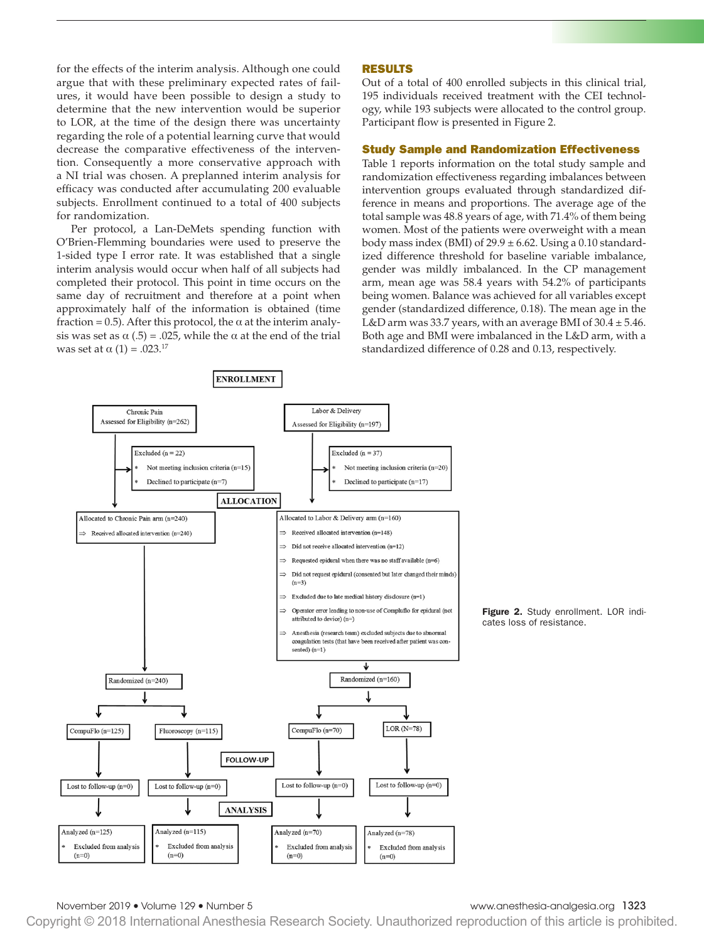for the effects of the interim analysis. Although one could argue that with these preliminary expected rates of failures, it would have been possible to design a study to determine that the new intervention would be superior to LOR, at the time of the design there was uncertainty regarding the role of a potential learning curve that would decrease the comparative effectiveness of the intervention. Consequently a more conservative approach with a NI trial was chosen. A preplanned interim analysis for efficacy was conducted after accumulating 200 evaluable subjects. Enrollment continued to a total of 400 subjects for randomization.

Per protocol, a Lan-DeMets spending function with O'Brien-Flemming boundaries were used to preserve the 1-sided type I error rate. It was established that a single interim analysis would occur when half of all subjects had completed their protocol. This point in time occurs on the same day of recruitment and therefore at a point when approximately half of the information is obtained (time fraction = 0.5). After this protocol, the  $\alpha$  at the interim analysis was set as  $\alpha$  (.5) = .025, while the  $\alpha$  at the end of the trial was set at  $\alpha$  (1) = .023.<sup>17</sup>

**ENROLLMENT** 

# RESULTS

Out of a total of 400 enrolled subjects in this clinical trial, 195 individuals received treatment with the CEI technology, while 193 subjects were allocated to the control group. Participant flow is presented in Figure 2.

# Study Sample and Randomization Effectiveness

Table 1 reports information on the total study sample and randomization effectiveness regarding imbalances between intervention groups evaluated through standardized difference in means and proportions. The average age of the total sample was 48.8 years of age, with 71.4% of them being women. Most of the patients were overweight with a mean body mass index (BMI) of  $29.9 \pm 6.62$ . Using a 0.10 standardized difference threshold for baseline variable imbalance, gender was mildly imbalanced. In the CP management arm, mean age was 58.4 years with 54.2% of participants being women. Balance was achieved for all variables except gender (standardized difference, 0.18). The mean age in the L&D arm was 33.7 years, with an average BMI of  $30.4 \pm 5.46$ . Both age and BMI were imbalanced in the L&D arm, with a standardized difference of 0.28 and 0.13, respectively.



Figure 2. Study enrollment. LOR indicates loss of resistance.

November 2019 • Volume 129 • Number 5 www.anesthesia-analgesia.org 1323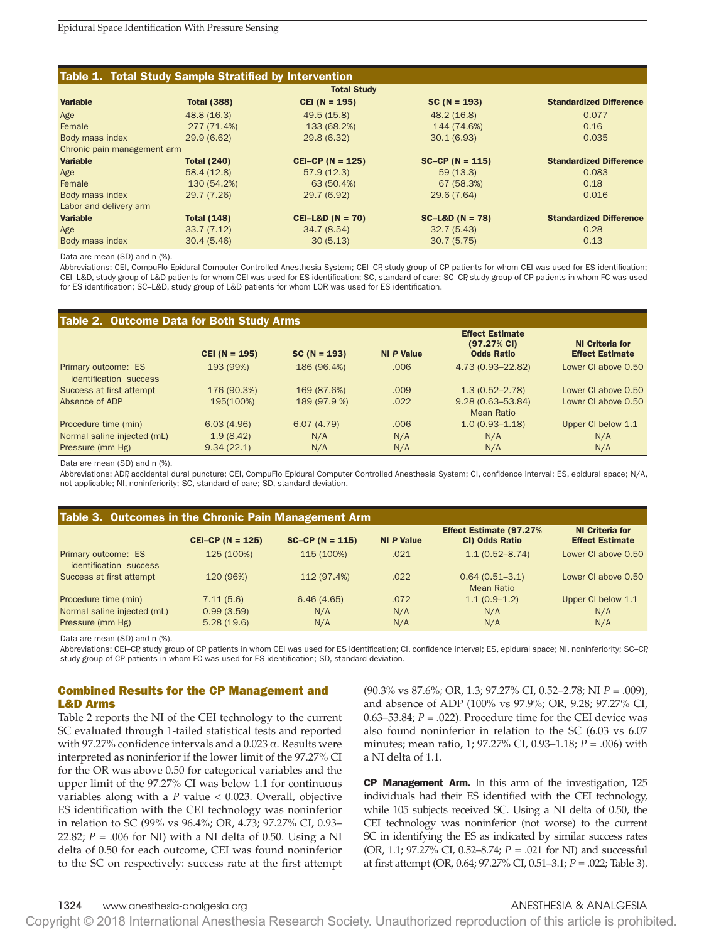| Table 1. Total Study Sample Stratified by Intervention |                    |                    |                   |                                |  |  |
|--------------------------------------------------------|--------------------|--------------------|-------------------|--------------------------------|--|--|
| <b>Total Study</b>                                     |                    |                    |                   |                                |  |  |
| <b>Variable</b>                                        | <b>Total (388)</b> | $CEI (N = 195)$    | $SC(N = 193)$     | <b>Standardized Difference</b> |  |  |
| Age                                                    | 48.8 (16.3)        | 49.5 (15.8)        | 48.2 (16.8)       | 0.077                          |  |  |
| Female                                                 | 277 (71.4%)        | 133 (68.2%)        | 144 (74.6%)       | 0.16                           |  |  |
| Body mass index                                        | 29.9(6.62)         | 29.8 (6.32)        | 30.1(6.93)        | 0.035                          |  |  |
| Chronic pain management arm                            |                    |                    |                   |                                |  |  |
| <b>Variable</b>                                        | <b>Total (240)</b> | $CEI-CP (N = 125)$ | $SC-CP (N = 115)$ | <b>Standardized Difference</b> |  |  |
| Age                                                    | 58.4(12.8)         | 57.9(12.3)         | 59(13.3)          | 0.083                          |  |  |
| Female                                                 | 130 (54.2%)        | 63 (50.4%)         | 67 (58.3%)        | 0.18                           |  |  |
| Body mass index                                        | 29.7 (7.26)        | 29.7 (6.92)        | 29.6 (7.64)       | 0.016                          |  |  |
| Labor and delivery arm                                 |                    |                    |                   |                                |  |  |
| <b>Variable</b>                                        | <b>Total (148)</b> | $CEI-L&D (N = 70)$ | $SC-L&D (N = 78)$ | <b>Standardized Difference</b> |  |  |
| Age                                                    | 33.7(7.12)         | 34.7 (8.54)        | 32.7(5.43)        | 0.28                           |  |  |
| Body mass index                                        | 30.4(5.46)         | 30(5.13)           | 30.7(5.75)        | 0.13                           |  |  |

Data are mean (SD) and n (%).

Abbreviations: CEI, CompuFlo Epidural Computer Controlled Anesthesia System; CEI–CP, study group of CP patients for whom CEI was used for ES identification; CEI–L&D, study group of L&D patients for whom CEI was used for ES identification; SC, standard of care; SC–CP, study group of CP patients in whom FC was used for ES identification; SC–L&D, study group of L&D patients for whom LOR was used for ES identification.

| Table 2. Outcome Data for Both Study Arms     |                 |               |                   |                                                                       |                                                  |  |
|-----------------------------------------------|-----------------|---------------|-------------------|-----------------------------------------------------------------------|--------------------------------------------------|--|
|                                               | $CEI (N = 195)$ | $SC(N = 193)$ | <b>NI P Value</b> | <b>Effect Estimate</b><br>$(97.27\% \text{ CI})$<br><b>Odds Ratio</b> | <b>NI Criteria for</b><br><b>Effect Estimate</b> |  |
| Primary outcome: ES<br>identification success | 193 (99%)       | 186 (96.4%)   | .006              | 4.73 (0.93-22.82)                                                     | Lower CI above 0.50                              |  |
| Success at first attempt                      | 176 (90.3%)     | 169 (87.6%)   | .009              | $1.3(0.52 - 2.78)$                                                    | Lower CI above 0.50                              |  |
| Absence of ADP                                | 195(100%)       | 189 (97.9 %)  | .022              | $9.28(0.63 - 53.84)$<br>Mean Ratio                                    | Lower CI above 0.50                              |  |
| Procedure time (min)                          | 6.03(4.96)      | 6.07(4.79)    | .006              | $1.0(0.93 - 1.18)$                                                    | Upper CI below 1.1                               |  |
| Normal saline injected (mL)                   | 1.9(8.42)       | N/A           | N/A               | N/A                                                                   | N/A                                              |  |
| Pressure (mm Hg)                              | 9.34(22.1)      | N/A           | N/A               | N/A                                                                   | N/A                                              |  |

Data are mean (SD) and n (%).

Abbreviations: ADP, accidental dural puncture; CEI, CompuFlo Epidural Computer Controlled Anesthesia System; CI, confidence interval; ES, epidural space; N/A, not applicable; NI, noninferiority; SC, standard of care; SD, standard deviation.

| Table 3. Outcomes in the Chronic Pain Management Arm |                    |                   |            |                                                   |                                                  |  |
|------------------------------------------------------|--------------------|-------------------|------------|---------------------------------------------------|--------------------------------------------------|--|
|                                                      | $CEI-CP (N = 125)$ | $SC-CP (N = 115)$ | NI P Value | <b>Effect Estimate (97.27%)</b><br>CI) Odds Ratio | <b>NI Criteria for</b><br><b>Effect Estimate</b> |  |
| Primary outcome: ES<br>identification success        | 125 (100%)         | 115 (100%)        | .021       | $1.1(0.52 - 8.74)$                                | Lower CI above 0.50                              |  |
| Success at first attempt                             | 120 (96%)          | 112 (97.4%)       | .022       | $0.64(0.51 - 3.1)$<br><b>Mean Ratio</b>           | Lower CI above 0.50                              |  |
| Procedure time (min)                                 | 7.11(5.6)          | 6.46(4.65)        | .072       | $1.1(0.9-1.2)$                                    | Upper CI below 1.1                               |  |
| Normal saline injected (mL)                          | 0.99(3.59)         | N/A               | N/A        | N/A                                               | N/A                                              |  |
| Pressure (mm Hg)                                     | 5.28(19.6)         | N/A               | N/A        | N/A                                               | N/A                                              |  |

Data are mean (SD) and n (%).

Abbreviations: CEI–CP, study group of CP patients in whom CEI was used for ES identification; CI, confidence interval; ES, epidural space; NI, noninferiority; SC–CP, study group of CP patients in whom FC was used for ES identification; SD, standard deviation.

# Combined Results for the CP Management and L&D Arms

Table 2 reports the NI of the CEI technology to the current SC evaluated through 1-tailed statistical tests and reported with 97.27% confidence intervals and a 0.023 α. Results were interpreted as noninferior if the lower limit of the 97.27% CI for the OR was above 0.50 for categorical variables and the upper limit of the 97.27% CI was below 1.1 for continuous variables along with a *P* value < 0.023. Overall, objective ES identification with the CEI technology was noninferior in relation to SC (99% vs 96.4%; OR, 4.73; 97.27% CI, 0.93– 22.82;  $P = .006$  for NI) with a NI delta of 0.50. Using a NI delta of 0.50 for each outcome, CEI was found noninferior to the SC on respectively: success rate at the first attempt (90.3% vs 87.6%; OR, 1.3; 97.27% CI, 0.52–2.78; NI *P* = .009), and absence of ADP (100% vs 97.9%; OR, 9.28; 97.27% CI, 0.63–53.84;  $P = 0.022$ ). Procedure time for the CEI device was also found noninferior in relation to the SC (6.03 vs 6.07 minutes; mean ratio, 1; 97.27% CI, 0.93–1.18; *P* = .006) with a NI delta of 1.1.

CP Management Arm. In this arm of the investigation, 125 individuals had their ES identified with the CEI technology, while 105 subjects received SC. Using a NI delta of 0.50, the CEI technology was noninferior (not worse) to the current SC in identifying the ES as indicated by similar success rates (OR, 1.1; 97.27% CI, 0.52–8.74; *P* = .021 for NI) and successful at first attempt (OR, 0.64; 97.27% CI, 0.51–3.1; *P* = .022; Table 3).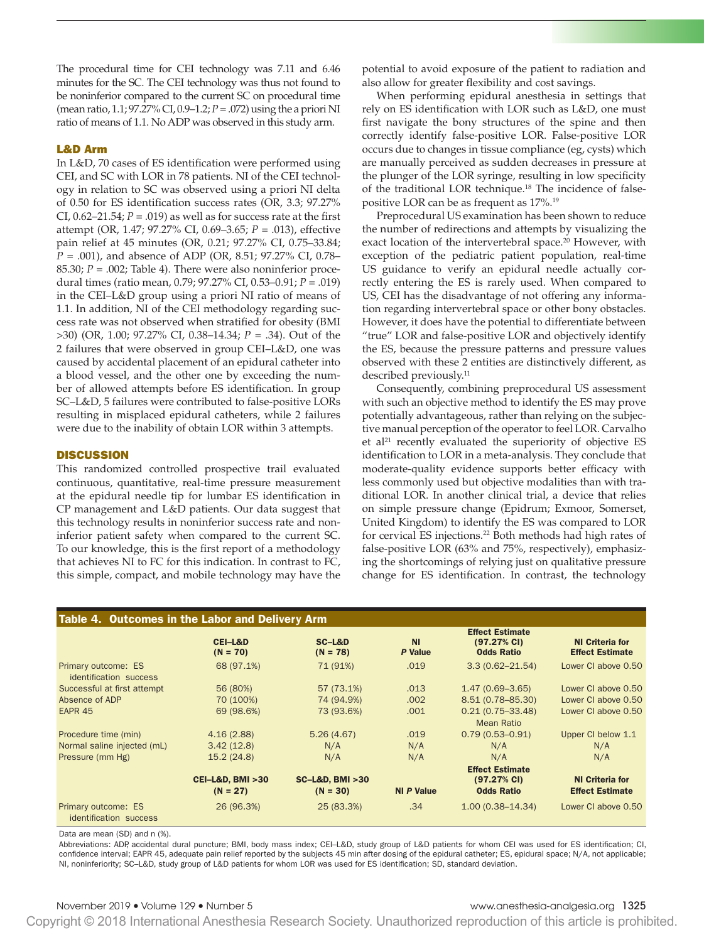The procedural time for CEI technology was 7.11 and 6.46 minutes for the SC. The CEI technology was thus not found to be noninferior compared to the current SC on procedural time (mean ratio, 1.1; 97.27% CI, 0.9–1.2; *P* = .072) using the a priori NI ratio of means of 1.1. No ADP was observed in this study arm.

# L&D Arm

In L&D, 70 cases of ES identification were performed using CEI, and SC with LOR in 78 patients. NI of the CEI technology in relation to SC was observed using a priori NI delta of 0.50 for ES identification success rates (OR, 3.3; 97.27% CI,  $0.62-21.54$ ;  $P = .019$ ) as well as for success rate at the first attempt (OR, 1.47; 97.27% CI, 0.69–3.65; *P* = .013), effective pain relief at 45 minutes (OR, 0.21; 97.27% CI, 0.75–33.84; *P* = .001), and absence of ADP (OR, 8.51; 97.27% CI, 0.78– 85.30; *P* = .002; Table 4). There were also noninferior procedural times (ratio mean, 0.79; 97.27% CI, 0.53–0.91; *P* = .019) in the CEI–L&D group using a priori NI ratio of means of 1.1. In addition, NI of the CEI methodology regarding success rate was not observed when stratified for obesity (BMI >30) (OR, 1.00; 97.27% CI, 0.38–14.34; *P* = .34). Out of the 2 failures that were observed in group CEI–L&D, one was caused by accidental placement of an epidural catheter into a blood vessel, and the other one by exceeding the number of allowed attempts before ES identification. In group SC–L&D, 5 failures were contributed to false-positive LORs resulting in misplaced epidural catheters, while 2 failures were due to the inability of obtain LOR within 3 attempts.

### **DISCUSSION**

This randomized controlled prospective trail evaluated continuous, quantitative, real-time pressure measurement at the epidural needle tip for lumbar ES identification in CP management and L&D patients. Our data suggest that this technology results in noninferior success rate and noninferior patient safety when compared to the current SC. To our knowledge, this is the first report of a methodology that achieves NI to FC for this indication. In contrast to FC, this simple, compact, and mobile technology may have the

potential to avoid exposure of the patient to radiation and also allow for greater flexibility and cost savings.

When performing epidural anesthesia in settings that rely on ES identification with LOR such as L&D, one must first navigate the bony structures of the spine and then correctly identify false-positive LOR. False-positive LOR occurs due to changes in tissue compliance (eg, cysts) which are manually perceived as sudden decreases in pressure at the plunger of the LOR syringe, resulting in low specificity of the traditional LOR technique.18 The incidence of falsepositive LOR can be as frequent as 17%.19

Preprocedural US examination has been shown to reduce the number of redirections and attempts by visualizing the exact location of the intervertebral space.<sup>20</sup> However, with exception of the pediatric patient population, real-time US guidance to verify an epidural needle actually correctly entering the ES is rarely used. When compared to US, CEI has the disadvantage of not offering any information regarding intervertebral space or other bony obstacles. However, it does have the potential to differentiate between "true" LOR and false-positive LOR and objectively identify the ES, because the pressure patterns and pressure values observed with these 2 entities are distinctively different, as described previously.<sup>11</sup>

Consequently, combining preprocedural US assessment with such an objective method to identify the ES may prove potentially advantageous, rather than relying on the subjective manual perception of the operator to feel LOR. Carvalho et al<sup>21</sup> recently evaluated the superiority of objective  $ES$ identification to LOR in a meta-analysis. They conclude that moderate-quality evidence supports better efficacy with less commonly used but objective modalities than with traditional LOR. In another clinical trial, a device that relies on simple pressure change (Epidrum; Exmoor, Somerset, United Kingdom) to identify the ES was compared to LOR for cervical ES injections.<sup>22</sup> Both methods had high rates of false-positive LOR (63% and 75%, respectively), emphasizing the shortcomings of relying just on qualitative pressure change for ES identification. In contrast, the technology

| Table 4. Outcomes in the Labor and Delivery Arm |                                              |                                             |                             |                                                                       |                                                  |
|-------------------------------------------------|----------------------------------------------|---------------------------------------------|-----------------------------|-----------------------------------------------------------------------|--------------------------------------------------|
|                                                 | <b>CEI-L&amp;D</b><br>$(N = 70)$             | SC-L&D<br>$(N = 78)$                        | <b>NI</b><br><b>P</b> Value | <b>Effect Estimate</b><br>$(97.27\% \text{ Cl})$<br><b>Odds Ratio</b> | <b>NI Criteria for</b><br><b>Effect Estimate</b> |
| Primary outcome: ES<br>identification success   | 68 (97.1%)                                   | 71 (91%)                                    | .019                        | $3.3(0.62 - 21.54)$                                                   | Lower CI above 0.50                              |
| Successful at first attempt                     | 56 (80%)                                     | 57 (73.1%)                                  | .013                        | $1.47(0.69 - 3.65)$                                                   | Lower CI above 0.50                              |
| Absence of ADP                                  | 70 (100%)                                    | 74 (94.9%)                                  | .002                        | 8.51 (0.78-85.30)                                                     | Lower CI above 0.50                              |
| EAPR <sub>45</sub>                              | 69 (98.6%)                                   | 73 (93.6%)                                  | .001                        | $0.21(0.75 - 33.48)$<br><b>Mean Ratio</b>                             | Lower CI above 0.50                              |
| Procedure time (min)                            | 4.16(2.88)                                   | 5.26(4.67)                                  | .019                        | $0.79(0.53 - 0.91)$                                                   | Upper CI below 1.1                               |
| Normal saline injected (mL)                     | 3.42(12.8)                                   | N/A                                         | N/A                         | N/A                                                                   | N/A                                              |
| Pressure (mm Hg)                                | 15.2(24.8)                                   | N/A                                         | N/A                         | N/A                                                                   | N/A                                              |
|                                                 | <b>CEI-L&amp;D, BMI &gt;30</b><br>$(N = 27)$ | <b>SC-L&amp;D, BMI &gt;30</b><br>$(N = 30)$ | <b>NI P Value</b>           | <b>Effect Estimate</b><br>$(97.27\% \text{ CI})$<br><b>Odds Ratio</b> | <b>NI Criteria for</b><br><b>Effect Estimate</b> |
| Primary outcome: ES<br>identification success   | 26 (96.3%)                                   | 25 (83.3%)                                  | .34                         | $1.00(0.38 - 14.34)$                                                  | Lower CI above 0.50                              |

Data are mean (SD) and n (%).

Abbreviations: ADP, accidental dural puncture; BMI, body mass index; CEI–L&D, study group of L&D patients for whom CEI was used for ES identification; CI, confidence interval; EAPR 45, adequate pain relief reported by the subjects 45 min after dosing of the epidural catheter; ES, epidural space; N/A, not applicable; NI, noninferiority; SC–L&D, study group of L&D patients for whom LOR was used for ES identification; SD, standard deviation.

# November 2019 • Volume 129 • Number 5 www.anesthesia-analgesia.org 1325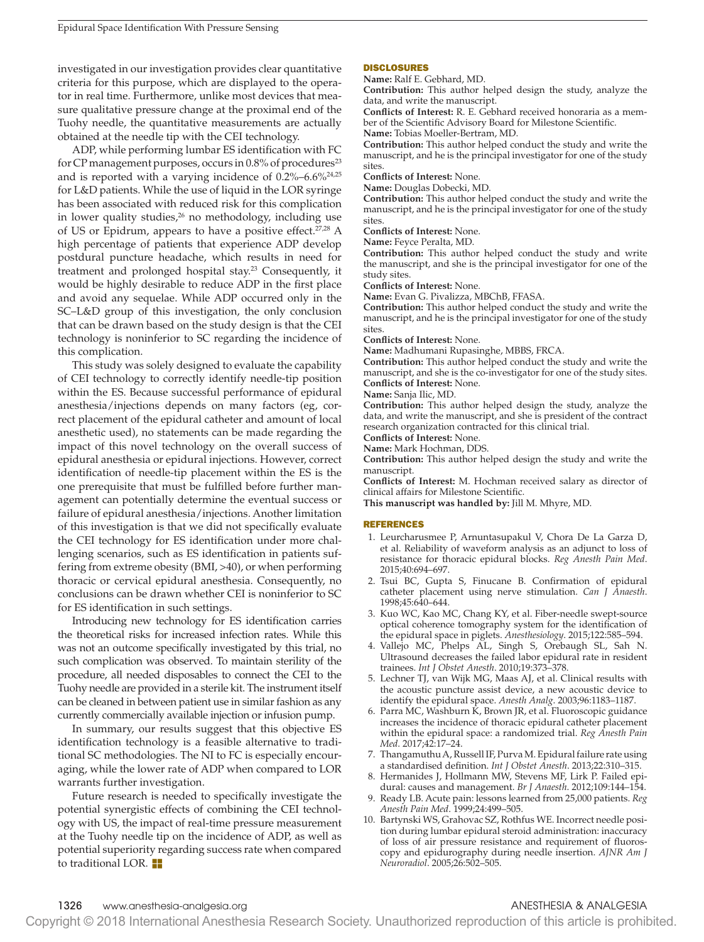investigated in our investigation provides clear quantitative criteria for this purpose, which are displayed to the operator in real time. Furthermore, unlike most devices that measure qualitative pressure change at the proximal end of the Tuohy needle, the quantitative measurements are actually obtained at the needle tip with the CEI technology.

ADP, while performing lumbar ES identification with FC for CP management purposes, occurs in  $0.8\%$  of procedures<sup>23</sup> and is reported with a varying incidence of 0.2%–6.6%24,25 for L&D patients. While the use of liquid in the LOR syringe has been associated with reduced risk for this complication in lower quality studies,<sup>26</sup> no methodology, including use of US or Epidrum, appears to have a positive effect.<sup>27,28</sup> A high percentage of patients that experience ADP develop postdural puncture headache, which results in need for treatment and prolonged hospital stay.<sup>23</sup> Consequently, it would be highly desirable to reduce ADP in the first place and avoid any sequelae. While ADP occurred only in the SC–L&D group of this investigation, the only conclusion that can be drawn based on the study design is that the CEI technology is noninferior to SC regarding the incidence of this complication.

This study was solely designed to evaluate the capability of CEI technology to correctly identify needle-tip position within the ES. Because successful performance of epidural anesthesia/injections depends on many factors (eg, correct placement of the epidural catheter and amount of local anesthetic used), no statements can be made regarding the impact of this novel technology on the overall success of epidural anesthesia or epidural injections. However, correct identification of needle-tip placement within the ES is the one prerequisite that must be fulfilled before further management can potentially determine the eventual success or failure of epidural anesthesia/injections. Another limitation of this investigation is that we did not specifically evaluate the CEI technology for ES identification under more challenging scenarios, such as ES identification in patients suffering from extreme obesity (BMI, >40), or when performing thoracic or cervical epidural anesthesia. Consequently, no conclusions can be drawn whether CEI is noninferior to SC for ES identification in such settings.

Introducing new technology for ES identification carries the theoretical risks for increased infection rates. While this was not an outcome specifically investigated by this trial, no such complication was observed. To maintain sterility of the procedure, all needed disposables to connect the CEI to the Tuohy needle are provided in a sterile kit. The instrument itself can be cleaned in between patient use in similar fashion as any currently commercially available injection or infusion pump.

In summary, our results suggest that this objective ES identification technology is a feasible alternative to traditional SC methodologies. The NI to FC is especially encouraging, while the lower rate of ADP when compared to LOR warrants further investigation.

Future research is needed to specifically investigate the potential synergistic effects of combining the CEI technology with US, the impact of real-time pressure measurement at the Tuohy needle tip on the incidence of ADP, as well as potential superiority regarding success rate when compared to traditional LOR.  $\blacksquare$ 

### DISCLOSURES

**Name:** Ralf E. Gebhard, MD.

**Contribution:** This author helped design the study, analyze the data, and write the manuscript.

**Conflicts of Interest:** R. E. Gebhard received honoraria as a member of the Scientific Advisory Board for Milestone Scientific.

**Name:** Tobias Moeller-Bertram, MD.

**Contribution:** This author helped conduct the study and write the manuscript, and he is the principal investigator for one of the study sites.

**Conflicts of Interest:** None.

**Name:** Douglas Dobecki, MD.

**Contribution:** This author helped conduct the study and write the manuscript, and he is the principal investigator for one of the study sites.

**Conflicts of Interest:** None.

**Name:** Feyce Peralta, MD.

**Contribution:** This author helped conduct the study and write the manuscript, and she is the principal investigator for one of the study sites.

**Conflicts of Interest:** None.

**Name:** Evan G. Pivalizza, MBChB, FFASA.

**Contribution:** This author helped conduct the study and write the manuscript, and he is the principal investigator for one of the study sites.

**Conflicts of Interest:** None.

**Name:** Madhumani Rupasinghe, MBBS, FRCA.

**Contribution:** This author helped conduct the study and write the manuscript, and she is the co-investigator for one of the study sites. **Conflicts of Interest:** None.

#### **Name:** Sanja Ilic, MD.

**Contribution:** This author helped design the study, analyze the data, and write the manuscript, and she is president of the contract research organization contracted for this clinical trial.

**Conflicts of Interest:** None.

**Name:** Mark Hochman, DDS.

**Contribution:** This author helped design the study and write the manuscript.

**Conflicts of Interest:** M. Hochman received salary as director of clinical affairs for Milestone Scientific.

**This manuscript was handled by:** Jill M. Mhyre, MD.

#### REFERENCES

- 1. Leurcharusmee P, Arnuntasupakul V, Chora De La Garza D, et al. Reliability of waveform analysis as an adjunct to loss of resistance for thoracic epidural blocks. *Reg Anesth Pain Med*. 2015;40:694–697.
- 2. Tsui BC, Gupta S, Finucane B. Confirmation of epidural catheter placement using nerve stimulation. *Can J Anaesth*. 1998;45:640–644.
- 3. Kuo WC, Kao MC, Chang KY, et al. Fiber-needle swept-source optical coherence tomography system for the identification of the epidural space in piglets. *Anesthesiology*. 2015;122:585–594.
- 4. Vallejo MC, Phelps AL, Singh S, Orebaugh SL, Sah N. Ultrasound decreases the failed labor epidural rate in resident trainees. *Int J Obstet Anesth*. 2010;19:373–378.
- 5. Lechner TJ, van Wijk MG, Maas AJ, et al. Clinical results with the acoustic puncture assist device, a new acoustic device to identify the epidural space. *Anesth Analg*. 2003;96:1183–1187.
- 6. Parra MC, Washburn K, Brown JR, et al. Fluoroscopic guidance increases the incidence of thoracic epidural catheter placement within the epidural space: a randomized trial. *Reg Anesth Pain Med*. 2017;42:17–24.
- 7. Thangamuthu A, Russell IF, Purva M. Epidural failure rate using a standardised definition. *Int J Obstet Anesth*. 2013;22:310–315.
- 8. Hermanides J, Hollmann MW, Stevens MF, Lirk P. Failed epidural: causes and management. *Br J Anaesth*. 2012;109:144–154.
- 9. Ready LB. Acute pain: lessons learned from 25,000 patients. *Reg Anesth Pain Med*. 1999;24:499–505.
- 10. Bartynski WS, Grahovac SZ, Rothfus WE. Incorrect needle position during lumbar epidural steroid administration: inaccuracy of loss of air pressure resistance and requirement of fluoroscopy and epidurography during needle insertion. *AJNR Am J Neuroradiol*. 2005;26:502–505.